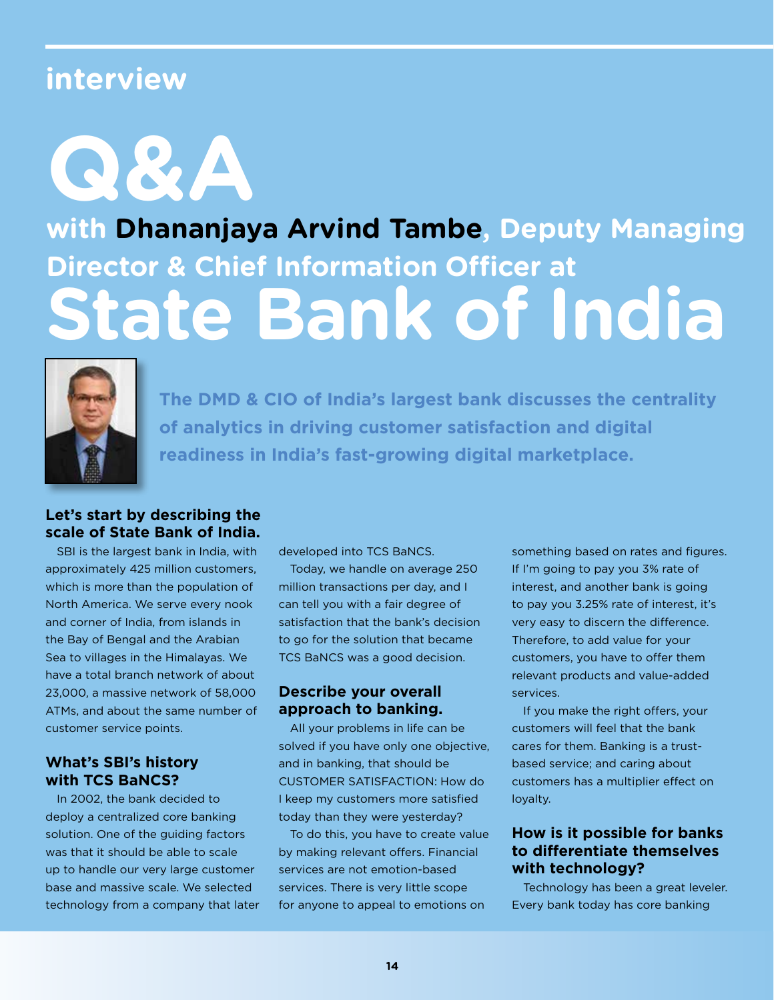## **interview**

**Q&A** 

# **with Dhananjaya Arvind Tambe, Deputy Managing Director & Chief Information Officer at State Bank of India**



**The DMD & CIO of India's largest bank discusses the centrality of analytics in driving customer satisfaction and digital readiness in India's fast-growing digital marketplace.**

### **Let's start by describing the scale of State Bank of India.**

SBI is the largest bank in India, with approximately 425 million customers, which is more than the population of North America. We serve every nook and corner of India, from islands in the Bay of Bengal and the Arabian Sea to villages in the Himalayas. We have a total branch network of about 23,000, a massive network of 58,000 ATMs, and about the same number of customer service points.

### **What's SBI's history with TCS BaNCS?**

In 2002, the bank decided to deploy a centralized core banking solution. One of the guiding factors was that it should be able to scale up to handle our very large customer base and massive scale. We selected technology from a company that later developed into TCS BaNCS.

Today, we handle on average 250 million transactions per day, and I can tell you with a fair degree of satisfaction that the bank's decision to go for the solution that became TCS BaNCS was a good decision.

### **Describe your overall approach to banking.**

All your problems in life can be solved if you have only one objective, and in banking, that should be CUSTOMER SATISFACTION: How do I keep my customers more satisfied today than they were yesterday?

To do this, you have to create value by making relevant offers. Financial services are not emotion-based services. There is very little scope for anyone to appeal to emotions on

something based on rates and figures. If I'm going to pay you 3% rate of interest, and another bank is going to pay you 3.25% rate of interest, it's very easy to discern the difference. Therefore, to add value for your customers, you have to offer them relevant products and value-added services.

If you make the right offers, your customers will feel that the bank cares for them. Banking is a trustbased service; and caring about customers has a multiplier effect on loyalty.

### **How is it possible for banks to differentiate themselves with technology?**

Technology has been a great leveler. Every bank today has core banking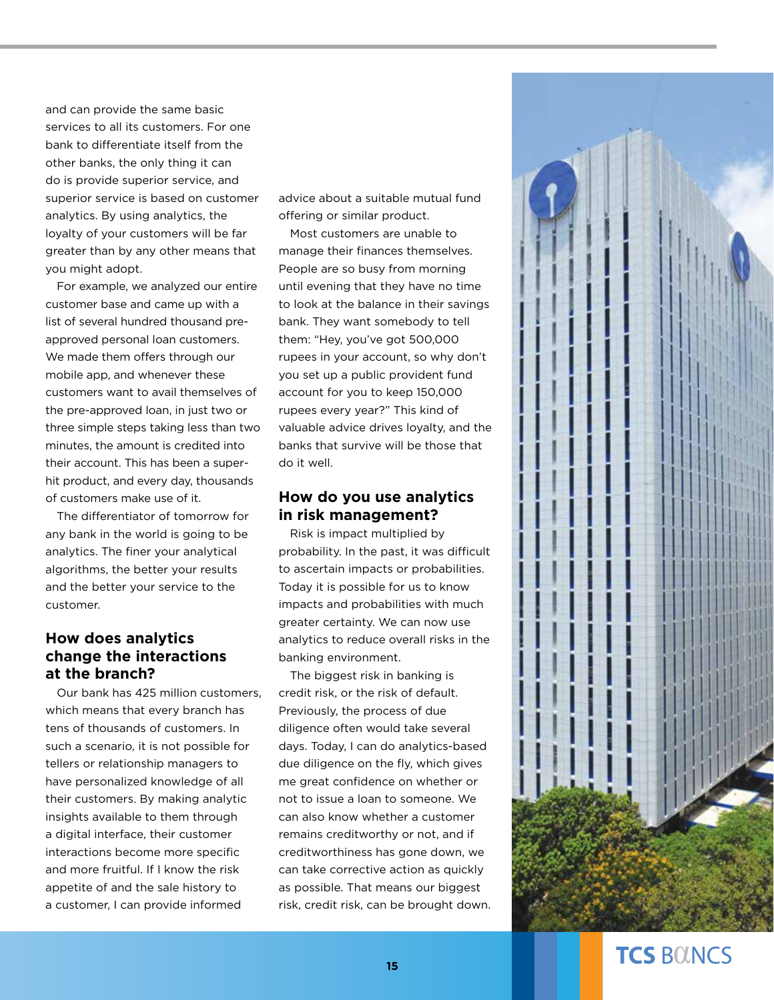and can provide the same basic services to all its customers. For one bank to differentiate itself from the other banks, the only thing it can do is provide superior service, and superior service is based on customer analytics. By using analytics, the loyalty of your customers will be far greater than by any other means that you might adopt.

For example, we analyzed our entire customer base and came up with a list of several hundred thousand preapproved personal loan customers. We made them offers through our mobile app, and whenever these customers want to avail themselves of the pre-approved loan, in just two or three simple steps taking less than two minutes, the amount is credited into their account. This has been a superhit product, and every day, thousands of customers make use of it.

The differentiator of tomorrow for any bank in the world is going to be analytics. The finer your analytical algorithms, the better your results and the better your service to the customer.

### **How does analytics change the interactions at the branch?**

Our bank has 425 million customers, which means that every branch has tens of thousands of customers. In such a scenario, it is not possible for tellers or relationship managers to have personalized knowledge of all their customers. By making analytic insights available to them through a digital interface, their customer interactions become more specific and more fruitful. If I know the risk appetite of and the sale history to a customer, I can provide informed

advice about a suitable mutual fund offering or similar product.

Most customers are unable to manage their finances themselves. People are so busy from morning until evening that they have no time to look at the balance in their savings bank. They want somebody to tell them: "Hey, you've got 500,000 rupees in your account, so why don't you set up a public provident fund account for you to keep 150,000 rupees every year?" This kind of valuable advice drives loyalty, and the banks that survive will be those that do it well.

#### **How do you use analytics in risk management?**

Risk is impact multiplied by probability. In the past, it was difficult to ascertain impacts or probabilities. Today it is possible for us to know impacts and probabilities with much greater certainty. We can now use analytics to reduce overall risks in the banking environment.

The biggest risk in banking is credit risk, or the risk of default. Previously, the process of due diligence often would take several days. Today, I can do analytics-based due diligence on the fly, which gives me great confidence on whether or not to issue a loan to someone. We can also know whether a customer remains creditworthy or not, and if creditworthiness has gone down, we can take corrective action as quickly as possible. That means our biggest risk, credit risk, can be brought down.



### **TCS BOINCS**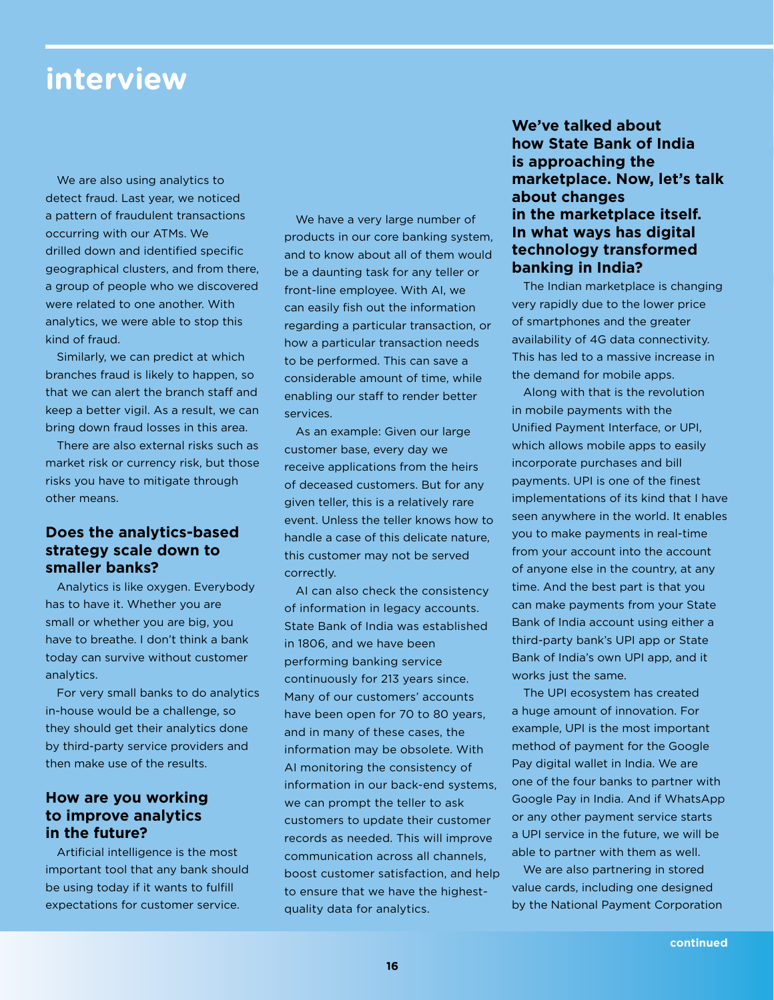### **interview**

We are also using analytics to detect fraud. Last year, we noticed a pattern of fraudulent transactions occurring with our ATMs. We drilled down and identified specific geographical clusters, and from there, a group of people who we discovered were related to one another. With analytics, we were able to stop this kind of fraud.

Similarly, we can predict at which branches fraud is likely to happen, so that we can alert the branch staff and keep a better vigil. As a result, we can bring down fraud losses in this area.

There are also external risks such as market risk or currency risk, but those risks you have to mitigate through other means.

### **Does the analytics-based strategy scale down to smaller banks?**

Analytics is like oxygen. Everybody has to have it. Whether you are small or whether you are big, you have to breathe. I don't think a bank today can survive without customer analytics.

For very small banks to do analytics in-house would be a challenge, so they should get their analytics done by third-party service providers and then make use of the results.

#### **How are you working to improve analytics in the future?**

Artificial intelligence is the most important tool that any bank should be using today if it wants to fulfill expectations for customer service.

We have a very large number of products in our core banking system, and to know about all of them would be a daunting task for any teller or front-line employee. With AI, we can easily fish out the information regarding a particular transaction, or how a particular transaction needs to be performed. This can save a considerable amount of time, while enabling our staff to render better services.

As an example: Given our large customer base, every day we receive applications from the heirs of deceased customers. But for any given teller, this is a relatively rare event. Unless the teller knows how to handle a case of this delicate nature, this customer may not be served correctly.

AI can also check the consistency of information in legacy accounts. State Bank of India was established in 1806, and we have been performing banking service continuously for 213 years since. Many of our customers' accounts have been open for 70 to 80 years, and in many of these cases, the information may be obsolete. With AI monitoring the consistency of information in our back-end systems, we can prompt the teller to ask customers to update their customer records as needed. This will improve communication across all channels, boost customer satisfaction, and help to ensure that we have the highestquality data for analytics.

### **We've talked about how State Bank of India is approaching the marketplace. Now, let's talk about changes in the marketplace itself. In what ways has digital technology transformed banking in India?**

The Indian marketplace is changing very rapidly due to the lower price of smartphones and the greater availability of 4G data connectivity. This has led to a massive increase in the demand for mobile apps.

Along with that is the revolution in mobile payments with the Unified Payment Interface, or UPI, which allows mobile apps to easily incorporate purchases and bill payments. UPI is one of the finest implementations of its kind that I have seen anywhere in the world. It enables you to make payments in real-time from your account into the account of anyone else in the country, at any time. And the best part is that you can make payments from your State Bank of India account using either a third-party bank's UPI app or State Bank of India's own UPI app, and it works just the same.

The UPI ecosystem has created a huge amount of innovation. For example, UPI is the most important method of payment for the Google Pay digital wallet in India. We are one of the four banks to partner with Google Pay in India. And if WhatsApp or any other payment service starts a UPI service in the future, we will be able to partner with them as well.

We are also partnering in stored value cards, including one designed by the National Payment Corporation